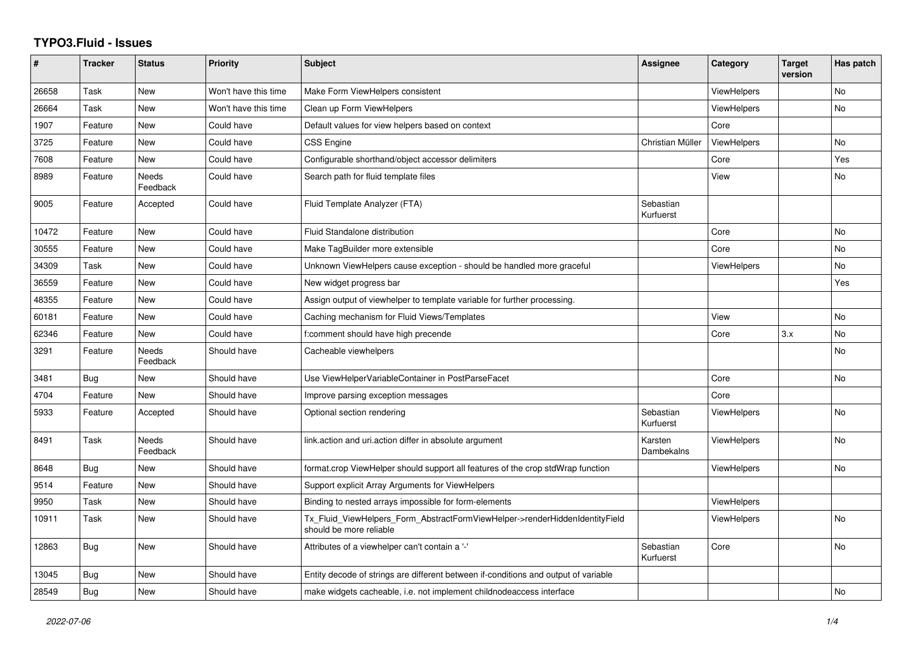## **TYPO3.Fluid - Issues**

| #     | <b>Tracker</b> | <b>Status</b>            | <b>Priority</b>      | <b>Subject</b>                                                                                         | Assignee               | Category           | <b>Target</b><br>version | Has patch      |
|-------|----------------|--------------------------|----------------------|--------------------------------------------------------------------------------------------------------|------------------------|--------------------|--------------------------|----------------|
| 26658 | Task           | <b>New</b>               | Won't have this time | Make Form ViewHelpers consistent                                                                       |                        | <b>ViewHelpers</b> |                          | No             |
| 26664 | Task           | New                      | Won't have this time | Clean up Form ViewHelpers                                                                              |                        | <b>ViewHelpers</b> |                          | <b>No</b>      |
| 1907  | Feature        | New                      | Could have           | Default values for view helpers based on context                                                       |                        | Core               |                          |                |
| 3725  | Feature        | <b>New</b>               | Could have           | <b>CSS Engine</b>                                                                                      | Christian Müller       | ViewHelpers        |                          | No             |
| 7608  | Feature        | New                      | Could have           | Configurable shorthand/object accessor delimiters                                                      |                        | Core               |                          | Yes            |
| 8989  | Feature        | Needs<br>Feedback        | Could have           | Search path for fluid template files                                                                   |                        | View               |                          | No             |
| 9005  | Feature        | Accepted                 | Could have           | Fluid Template Analyzer (FTA)                                                                          | Sebastian<br>Kurfuerst |                    |                          |                |
| 10472 | Feature        | New                      | Could have           | Fluid Standalone distribution                                                                          |                        | Core               |                          | <b>No</b>      |
| 30555 | Feature        | New                      | Could have           | Make TagBuilder more extensible                                                                        |                        | Core               |                          | No             |
| 34309 | Task           | <b>New</b>               | Could have           | Unknown ViewHelpers cause exception - should be handled more graceful                                  |                        | <b>ViewHelpers</b> |                          | No             |
| 36559 | Feature        | New                      | Could have           | New widget progress bar                                                                                |                        |                    |                          | Yes            |
| 48355 | Feature        | New                      | Could have           | Assign output of viewhelper to template variable for further processing.                               |                        |                    |                          |                |
| 60181 | Feature        | New                      | Could have           | Caching mechanism for Fluid Views/Templates                                                            |                        | View               |                          | <b>No</b>      |
| 62346 | Feature        | New                      | Could have           | f:comment should have high precende                                                                    |                        | Core               | 3.x                      | <b>No</b>      |
| 3291  | Feature        | Needs<br>Feedback        | Should have          | Cacheable viewhelpers                                                                                  |                        |                    |                          | No             |
| 3481  | Bug            | New                      | Should have          | Use ViewHelperVariableContainer in PostParseFacet                                                      |                        | Core               |                          | <b>No</b>      |
| 4704  | Feature        | <b>New</b>               | Should have          | Improve parsing exception messages                                                                     |                        | Core               |                          |                |
| 5933  | Feature        | Accepted                 | Should have          | Optional section rendering                                                                             | Sebastian<br>Kurfuerst | ViewHelpers        |                          | No             |
| 8491  | Task           | <b>Needs</b><br>Feedback | Should have          | link.action and uri.action differ in absolute argument                                                 | Karsten<br>Dambekalns  | <b>ViewHelpers</b> |                          | <b>No</b>      |
| 8648  | Bug            | New                      | Should have          | format.crop ViewHelper should support all features of the crop stdWrap function                        |                        | <b>ViewHelpers</b> |                          | <b>No</b>      |
| 9514  | Feature        | New                      | Should have          | Support explicit Array Arguments for ViewHelpers                                                       |                        |                    |                          |                |
| 9950  | Task           | <b>New</b>               | Should have          | Binding to nested arrays impossible for form-elements                                                  |                        | <b>ViewHelpers</b> |                          |                |
| 10911 | Task           | New                      | Should have          | Tx_Fluid_ViewHelpers_Form_AbstractFormViewHelper->renderHiddenIdentityField<br>should be more reliable |                        | ViewHelpers        |                          | N <sub>o</sub> |
| 12863 | Bug            | <b>New</b>               | Should have          | Attributes of a viewhelper can't contain a '-'                                                         | Sebastian<br>Kurfuerst | Core               |                          | No             |
| 13045 | Bug            | New                      | Should have          | Entity decode of strings are different between if-conditions and output of variable                    |                        |                    |                          |                |
| 28549 | Bug            | New                      | Should have          | make widgets cacheable, i.e. not implement childnodeaccess interface                                   |                        |                    |                          | <b>No</b>      |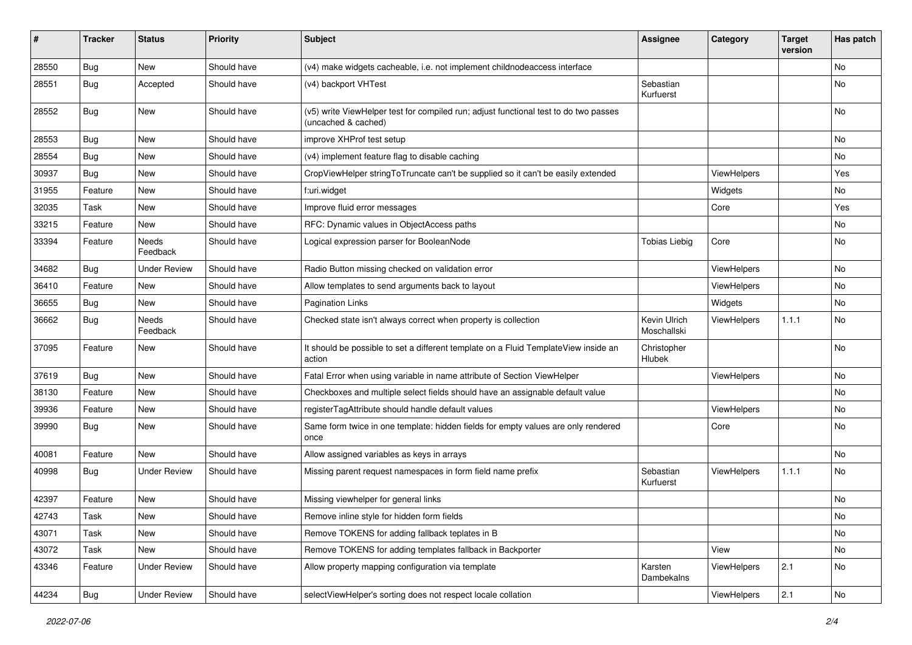| #     | <b>Tracker</b> | <b>Status</b>            | <b>Priority</b> | <b>Subject</b>                                                                                              | <b>Assignee</b>             | Category    | <b>Target</b><br>version | Has patch     |
|-------|----------------|--------------------------|-----------------|-------------------------------------------------------------------------------------------------------------|-----------------------------|-------------|--------------------------|---------------|
| 28550 | Bug            | <b>New</b>               | Should have     | (v4) make widgets cacheable, i.e. not implement childnodeaccess interface                                   |                             |             |                          | No            |
| 28551 | Bug            | Accepted                 | Should have     | (v4) backport VHTest                                                                                        | Sebastian<br>Kurfuerst      |             |                          | No            |
| 28552 | Bug            | <b>New</b>               | Should have     | (v5) write ViewHelper test for compiled run; adjust functional test to do two passes<br>(uncached & cached) |                             |             |                          | <b>No</b>     |
| 28553 | Bug            | <b>New</b>               | Should have     | improve XHProf test setup                                                                                   |                             |             |                          | <b>No</b>     |
| 28554 | Bug            | New                      | Should have     | (v4) implement feature flag to disable caching                                                              |                             |             |                          | No            |
| 30937 | Bug            | New                      | Should have     | CropViewHelper stringToTruncate can't be supplied so it can't be easily extended                            |                             | ViewHelpers |                          | Yes           |
| 31955 | Feature        | New                      | Should have     | f:uri.widget                                                                                                |                             | Widgets     |                          | No            |
| 32035 | Task           | New                      | Should have     | Improve fluid error messages                                                                                |                             | Core        |                          | Yes           |
| 33215 | Feature        | New                      | Should have     | RFC: Dynamic values in ObjectAccess paths                                                                   |                             |             |                          | No            |
| 33394 | Feature        | <b>Needs</b><br>Feedback | Should have     | Logical expression parser for BooleanNode                                                                   | <b>Tobias Liebig</b>        | Core        |                          | No            |
| 34682 | Bug            | <b>Under Review</b>      | Should have     | Radio Button missing checked on validation error                                                            |                             | ViewHelpers |                          | <b>No</b>     |
| 36410 | Feature        | New                      | Should have     | Allow templates to send arguments back to layout                                                            |                             | ViewHelpers |                          | No            |
| 36655 | Bug            | New                      | Should have     | <b>Pagination Links</b>                                                                                     |                             | Widgets     |                          | No            |
| 36662 | <b>Bug</b>     | Needs<br>Feedback        | Should have     | Checked state isn't always correct when property is collection                                              | Kevin Ulrich<br>Moschallski | ViewHelpers | 1.1.1                    | No            |
| 37095 | Feature        | New                      | Should have     | It should be possible to set a different template on a Fluid TemplateView inside an<br>action               | Christopher<br>Hlubek       |             |                          | No            |
| 37619 | Bug            | New                      | Should have     | Fatal Error when using variable in name attribute of Section ViewHelper                                     |                             | ViewHelpers |                          | No            |
| 38130 | Feature        | New                      | Should have     | Checkboxes and multiple select fields should have an assignable default value                               |                             |             |                          | <b>No</b>     |
| 39936 | Feature        | New                      | Should have     | registerTagAttribute should handle default values                                                           |                             | ViewHelpers |                          | No            |
| 39990 | Bug            | New                      | Should have     | Same form twice in one template: hidden fields for empty values are only rendered<br>once                   |                             | Core        |                          | <b>No</b>     |
| 40081 | Feature        | New                      | Should have     | Allow assigned variables as keys in arrays                                                                  |                             |             |                          | <b>No</b>     |
| 40998 | Bug            | <b>Under Review</b>      | Should have     | Missing parent request namespaces in form field name prefix                                                 | Sebastian<br>Kurfuerst      | ViewHelpers | 1.1.1                    | No            |
| 42397 | Feature        | New                      | Should have     | Missing viewhelper for general links                                                                        |                             |             |                          | No            |
| 42743 | Task           | New                      | Should have     | Remove inline style for hidden form fields                                                                  |                             |             |                          | $\mathsf{No}$ |
| 43071 | Task           | New                      | Should have     | Remove TOKENS for adding fallback teplates in B                                                             |                             |             |                          | No            |
| 43072 | Task           | New                      | Should have     | Remove TOKENS for adding templates fallback in Backporter                                                   |                             | View        |                          | No            |
| 43346 | Feature        | <b>Under Review</b>      | Should have     | Allow property mapping configuration via template                                                           | Karsten<br>Dambekalns       | ViewHelpers | 2.1                      | No            |
| 44234 | <b>Bug</b>     | <b>Under Review</b>      | Should have     | selectViewHelper's sorting does not respect locale collation                                                |                             | ViewHelpers | 2.1                      | $\mathsf{No}$ |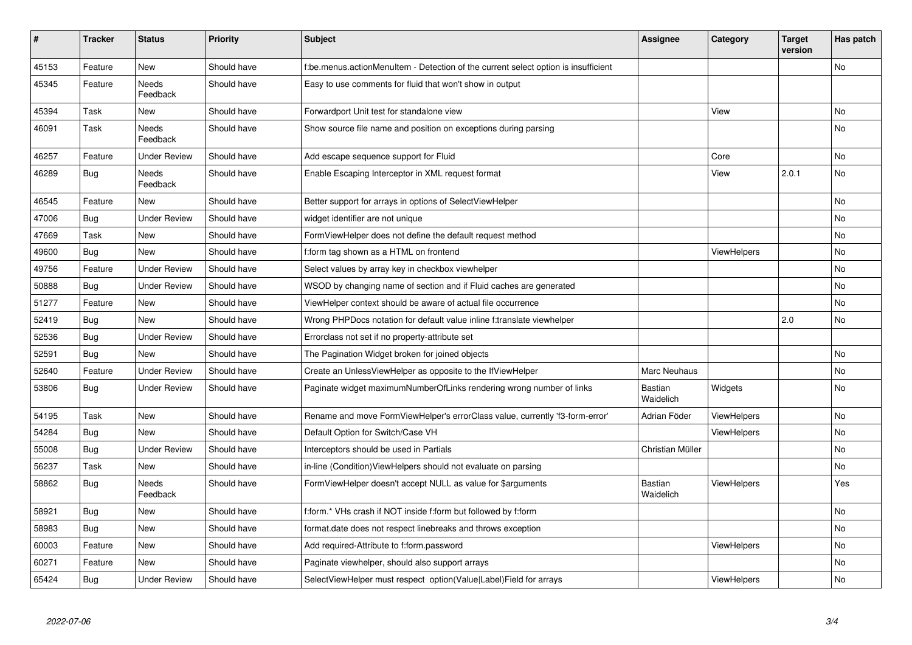| #     | <b>Tracker</b> | <b>Status</b>            | <b>Priority</b> | <b>Subject</b>                                                                     | <b>Assignee</b>      | Category           | <b>Target</b><br>version | Has patch |
|-------|----------------|--------------------------|-----------------|------------------------------------------------------------------------------------|----------------------|--------------------|--------------------------|-----------|
| 45153 | Feature        | <b>New</b>               | Should have     | f:be.menus.actionMenuItem - Detection of the current select option is insufficient |                      |                    |                          | <b>No</b> |
| 45345 | Feature        | Needs<br>Feedback        | Should have     | Easy to use comments for fluid that won't show in output                           |                      |                    |                          |           |
| 45394 | Task           | New                      | Should have     | Forwardport Unit test for standalone view                                          |                      | View               |                          | <b>No</b> |
| 46091 | Task           | Needs<br>Feedback        | Should have     | Show source file name and position on exceptions during parsing                    |                      |                    |                          | <b>No</b> |
| 46257 | Feature        | <b>Under Review</b>      | Should have     | Add escape sequence support for Fluid                                              |                      | Core               |                          | <b>No</b> |
| 46289 | Bug            | <b>Needs</b><br>Feedback | Should have     | Enable Escaping Interceptor in XML request format                                  |                      | View               | 2.0.1                    | <b>No</b> |
| 46545 | Feature        | <b>New</b>               | Should have     | Better support for arrays in options of SelectViewHelper                           |                      |                    |                          | <b>No</b> |
| 47006 | Bug            | <b>Under Review</b>      | Should have     | widget identifier are not unique                                                   |                      |                    |                          | <b>No</b> |
| 47669 | Task           | New                      | Should have     | Form View Helper does not define the default request method                        |                      |                    |                          | No        |
| 49600 | <b>Bug</b>     | <b>New</b>               | Should have     | f:form tag shown as a HTML on frontend                                             |                      | ViewHelpers        |                          | <b>No</b> |
| 49756 | Feature        | <b>Under Review</b>      | Should have     | Select values by array key in checkbox viewhelper                                  |                      |                    |                          | No        |
| 50888 | <b>Bug</b>     | <b>Under Review</b>      | Should have     | WSOD by changing name of section and if Fluid caches are generated                 |                      |                    |                          | No        |
| 51277 | Feature        | <b>New</b>               | Should have     | ViewHelper context should be aware of actual file occurrence                       |                      |                    |                          | No        |
| 52419 | Bug            | <b>New</b>               | Should have     | Wrong PHPDocs notation for default value inline f:translate viewhelper             |                      |                    | 2.0                      | <b>No</b> |
| 52536 | Bug            | <b>Under Review</b>      | Should have     | Errorclass not set if no property-attribute set                                    |                      |                    |                          |           |
| 52591 | Bug            | <b>New</b>               | Should have     | The Pagination Widget broken for joined objects                                    |                      |                    |                          | <b>No</b> |
| 52640 | Feature        | <b>Under Review</b>      | Should have     | Create an UnlessViewHelper as opposite to the IfViewHelper                         | Marc Neuhaus         |                    |                          | <b>No</b> |
| 53806 | Bug            | <b>Under Review</b>      | Should have     | Paginate widget maximumNumberOfLinks rendering wrong number of links               | Bastian<br>Waidelich | Widgets            |                          | No        |
| 54195 | Task           | <b>New</b>               | Should have     | Rename and move FormViewHelper's errorClass value, currently 'f3-form-error'       | Adrian Föder         | ViewHelpers        |                          | No        |
| 54284 | Bug            | <b>New</b>               | Should have     | Default Option for Switch/Case VH                                                  |                      | <b>ViewHelpers</b> |                          | <b>No</b> |
| 55008 | Bug            | <b>Under Review</b>      | Should have     | Interceptors should be used in Partials                                            | Christian Müller     |                    |                          | No.       |
| 56237 | Task           | New                      | Should have     | in-line (Condition) View Helpers should not evaluate on parsing                    |                      |                    |                          | No        |
| 58862 | Bug            | Needs<br>Feedback        | Should have     | FormViewHelper doesn't accept NULL as value for \$arguments                        | Bastian<br>Waidelich | <b>ViewHelpers</b> |                          | Yes       |
| 58921 | Bug            | New                      | Should have     | f:form.* VHs crash if NOT inside f:form but followed by f:form                     |                      |                    |                          | No        |
| 58983 | <b>Bug</b>     | New                      | Should have     | format.date does not respect linebreaks and throws exception                       |                      |                    |                          | No        |
| 60003 | Feature        | New                      | Should have     | Add required-Attribute to f:form.password                                          |                      | <b>ViewHelpers</b> |                          | No        |
| 60271 | Feature        | <b>New</b>               | Should have     | Paginate viewhelper, should also support arrays                                    |                      |                    |                          | No        |
| 65424 | Bug            | <b>Under Review</b>      | Should have     | SelectViewHelper must respect option(Value Label)Field for arrays                  |                      | ViewHelpers        |                          | No        |